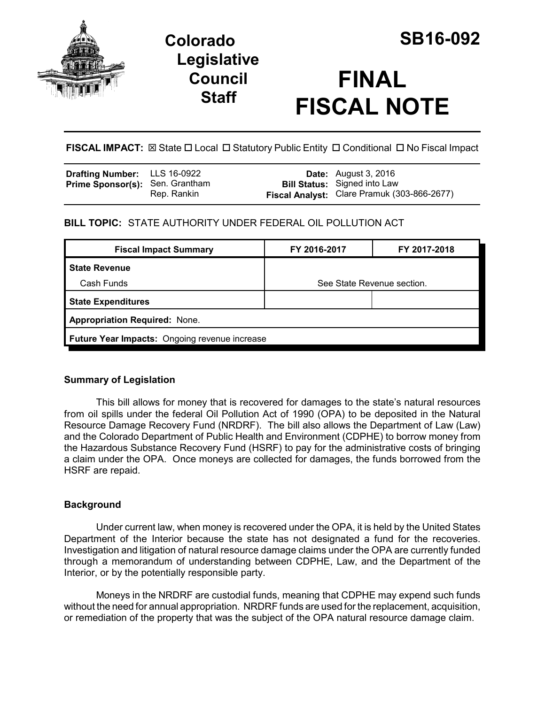

# **Colorado SB16-092 Legislative Council Staff**

# **FINAL FISCAL NOTE**

**FISCAL IMPACT:**  $\boxtimes$  State  $\Box$  Local  $\Box$  Statutory Public Entity  $\Box$  Conditional  $\Box$  No Fiscal Impact

| <b>Drafting Number:</b> LLS 16-0922    |             | <b>Date:</b> August 3, 2016                                                        |
|----------------------------------------|-------------|------------------------------------------------------------------------------------|
| <b>Prime Sponsor(s): Sen. Grantham</b> | Rep. Rankin | <b>Bill Status:</b> Signed into Law<br>Fiscal Analyst: Clare Pramuk (303-866-2677) |

# **BILL TOPIC:** STATE AUTHORITY UNDER FEDERAL OIL POLLUTION ACT

| FY 2016-2017                                  | FY 2017-2018 |  |  |  |
|-----------------------------------------------|--------------|--|--|--|
|                                               |              |  |  |  |
| See State Revenue section.                    |              |  |  |  |
|                                               |              |  |  |  |
| <b>Appropriation Required: None.</b>          |              |  |  |  |
| Future Year Impacts: Ongoing revenue increase |              |  |  |  |
|                                               |              |  |  |  |

## **Summary of Legislation**

This bill allows for money that is recovered for damages to the state's natural resources from oil spills under the federal Oil Pollution Act of 1990 (OPA) to be deposited in the Natural Resource Damage Recovery Fund (NRDRF). The bill also allows the Department of Law (Law) and the Colorado Department of Public Health and Environment (CDPHE) to borrow money from the Hazardous Substance Recovery Fund (HSRF) to pay for the administrative costs of bringing a claim under the OPA. Once moneys are collected for damages, the funds borrowed from the HSRF are repaid.

## **Background**

Under current law, when money is recovered under the OPA, it is held by the United States Department of the Interior because the state has not designated a fund for the recoveries. Investigation and litigation of natural resource damage claims under the OPA are currently funded through a memorandum of understanding between CDPHE, Law, and the Department of the Interior, or by the potentially responsible party.

Moneys in the NRDRF are custodial funds, meaning that CDPHE may expend such funds without the need for annual appropriation. NRDRF funds are used for the replacement, acquisition, or remediation of the property that was the subject of the OPA natural resource damage claim.